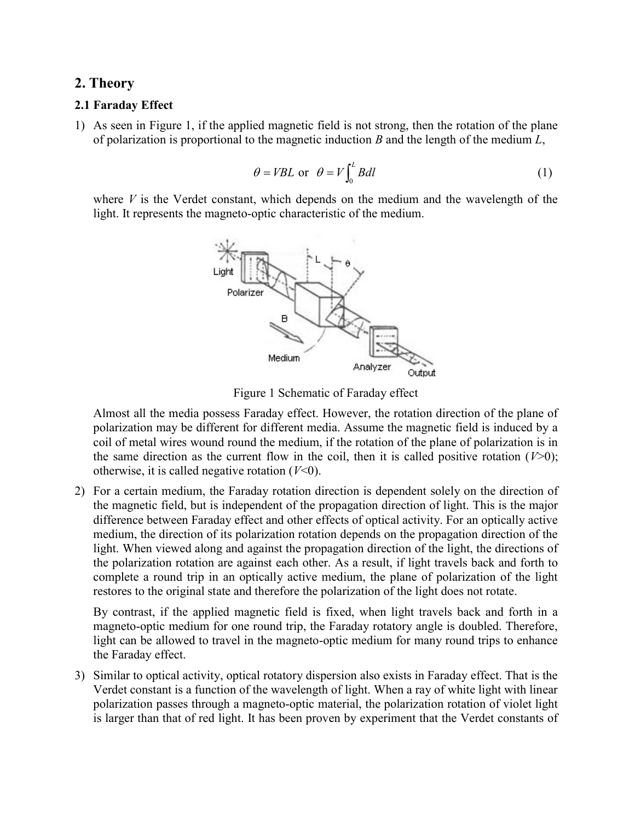# 2. Theory

# 2.1 Faraday Effect

1) As seen in Figure 1, if the applied magnetic field is not strong, then the rotation of the plane of polarization is proportional to the magnetic induction  $B$  and the length of the medium  $L$ ,

$$
\theta = VBL \text{ or } \theta = V \int_0^L B dl \tag{1}
$$

where  $V$  is the Verdet constant, which depends on the medium and the wavelength of the light. It represents the magneto-optic characteristic of the medium.



Figure 1 Schematic of Faraday effect

Almost all the media possess Faraday effect. However, the rotation direction of the plane of polarization may be different for different media. Assume the magnetic field is induced by a coil of metal wires wound round the medium, if the rotation of the plane of polarization is in the same direction as the current flow in the coil, then it is called positive rotation  $(V>0)$ ; otherwise, it is called negative rotation  $(V<0)$ .

2) For a certain medium, the Faraday rotation direction is dependent solely on the direction of the magnetic field, but is independent of the propagation direction of light. This is the major difference between Faraday effect and other effects of optical activity. For an optically active medium, the direction of its polarization rotation depends on the propagation direction of the light. When viewed along and against the propagation direction of the light, the directions of the polarization rotation are against each other. As a result, if light travels back and forth to complete a round trip in an optically active medium, the plane of polarization of the light restores to the original state and therefore the polarization of the light does not rotate.

By contrast, if the applied magnetic field is fixed, when light travels back and forth in a magneto-optic medium for one round trip, the Faraday rotatory angle is doubled. Therefore, light can be allowed to travel in the magneto-optic medium for many round trips to enhance the Faraday effect.

3) Similar to optical activity, optical rotatory dispersion also exists in Faraday effect. That is the Verdet constant is a function of the wavelength of light. When a ray of white light with linear polarization passes through a magneto-optic material, the polarization rotation of violet light is larger than that of red light. It has been proven by experiment that the Verdet constants of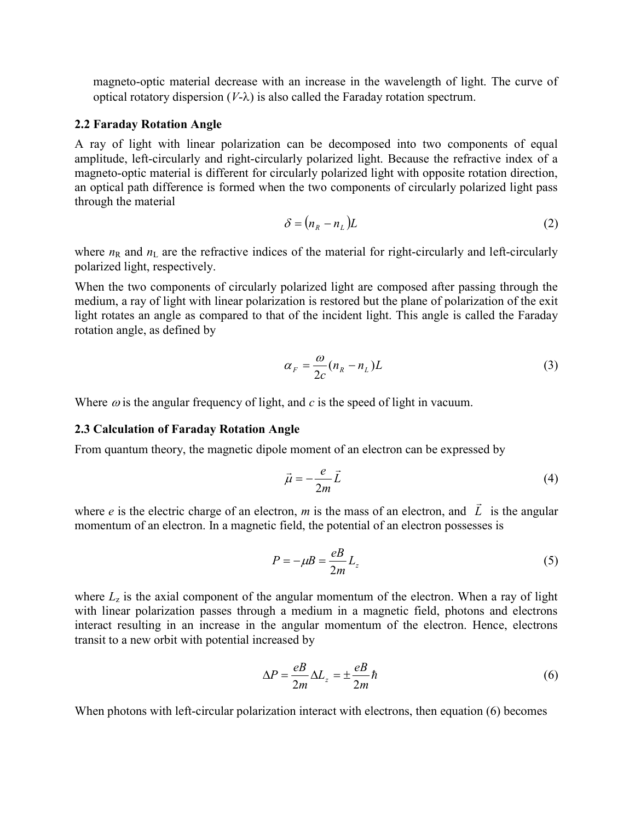magneto-optic material decrease with an increase in the wavelength of light. The curve of optical rotatory dispersion  $(V-\lambda)$  is also called the Faraday rotation spectrum.

## 2.2 Faraday Rotation Angle

A ray of light with linear polarization can be decomposed into two components of equal amplitude, left-circularly and right-circularly polarized light. Because the refractive index of a magneto-optic material is different for circularly polarized light with opposite rotation direction, an optical path difference is formed when the two components of circularly polarized light pass through the material

$$
\delta = (n_R - n_L)L \tag{2}
$$

where  $n_R$  and  $n_L$  are the refractive indices of the material for right-circularly and left-circularly polarized light, respectively.

When the two components of circularly polarized light are composed after passing through the medium, a ray of light with linear polarization is restored but the plane of polarization of the exit light rotates an angle as compared to that of the incident light. This angle is called the Faraday rotation angle, as defined by

$$
\alpha_F = \frac{\omega}{2c} (n_R - n_L) L \tag{3}
$$

Where  $\omega$  is the angular frequency of light, and c is the speed of light in vacuum.

#### 2.3 Calculation of Faraday Rotation Angle

From quantum theory, the magnetic dipole moment of an electron can be expressed by

$$
\vec{\mu} = -\frac{e}{2m}\vec{L} \tag{4}
$$

where  $e$  is the electric charge of an electron,  $m$  is the mass of an electron, and  $\overline{L}$  $\rightarrow$  is the angular momentum of an electron. In a magnetic field, the potential of an electron possesses is

$$
P = -\mu B = \frac{eB}{2m} L_z \tag{5}
$$

where  $L<sub>z</sub>$  is the axial component of the angular momentum of the electron. When a ray of light with linear polarization passes through a medium in a magnetic field, photons and electrons interact resulting in an increase in the angular momentum of the electron. Hence, electrons transit to a new orbit with potential increased by

$$
\Delta P = \frac{eB}{2m} \Delta L_z = \pm \frac{eB}{2m} \hbar \tag{6}
$$

When photons with left-circular polarization interact with electrons, then equation (6) becomes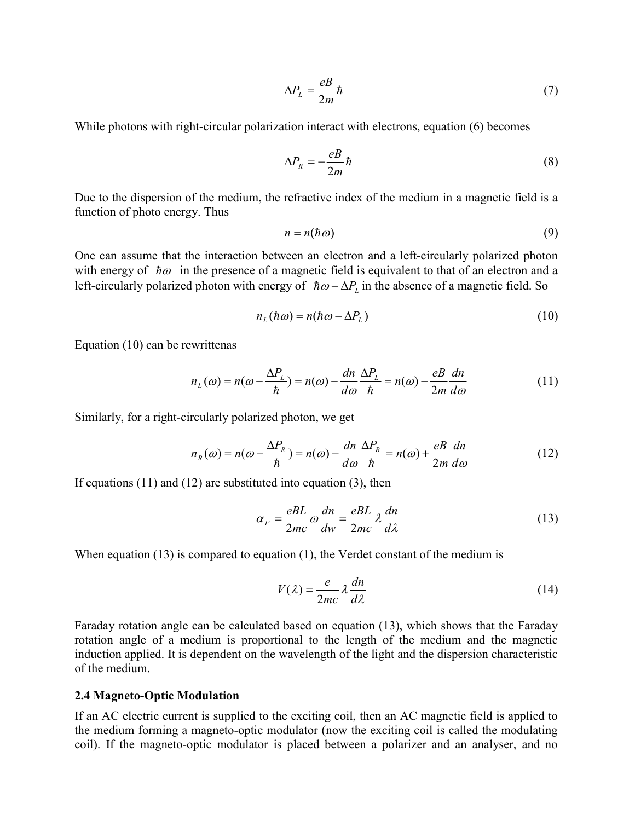$$
\Delta P_L = \frac{eB}{2m}\hbar \tag{7}
$$

While photons with right-circular polarization interact with electrons, equation (6) becomes

$$
\Delta P_R = -\frac{eB}{2m}\hbar \tag{8}
$$

Due to the dispersion of the medium, the refractive index of the medium in a magnetic field is a function of photo energy. Thus

$$
n = n(\hbar \omega) \tag{9}
$$

One can assume that the interaction between an electron and a left-circularly polarized photon with energy of  $\hbar\omega$  in the presence of a magnetic field is equivalent to that of an electron and a left-circularly polarized photon with energy of  $\hbar \omega - \Delta P_L$  in the absence of a magnetic field. So

$$
n_L(\hbar\omega) = n(\hbar\omega - \Delta P_L) \tag{10}
$$

Equation (10) can be rewrittenas

$$
n_L(\omega) = n(\omega - \frac{\Delta P_L}{\hbar}) = n(\omega) - \frac{dn}{d\omega} \frac{\Delta P_L}{\hbar} = n(\omega) - \frac{e}{2m} \frac{dn}{d\omega}
$$
(11)

Similarly, for a right-circularly polarized photon, we get

$$
n_R(\omega) = n(\omega - \frac{\Delta P_R}{\hbar}) = n(\omega) - \frac{dn}{d\omega} \frac{\Delta P_R}{\hbar} = n(\omega) + \frac{e}{2m} \frac{dn}{d\omega}
$$
(12)

If equations (11) and (12) are substituted into equation (3), then

$$
\alpha_F = \frac{eBL}{2mc} \omega \frac{dn}{dw} = \frac{eBL}{2mc} \lambda \frac{dn}{d\lambda}
$$
 (13)

When equation (13) is compared to equation (1), the Verdet constant of the medium is

$$
V(\lambda) = \frac{e}{2mc} \lambda \frac{dn}{d\lambda}
$$
 (14)

Faraday rotation angle can be calculated based on equation (13), which shows that the Faraday rotation angle of a medium is proportional to the length of the medium and the magnetic induction applied. It is dependent on the wavelength of the light and the dispersion characteristic of the medium.

## 2.4 Magneto-Optic Modulation

If an AC electric current is supplied to the exciting coil, then an AC magnetic field is applied to the medium forming a magneto-optic modulator (now the exciting coil is called the modulating coil). If the magneto-optic modulator is placed between a polarizer and an analyser, and no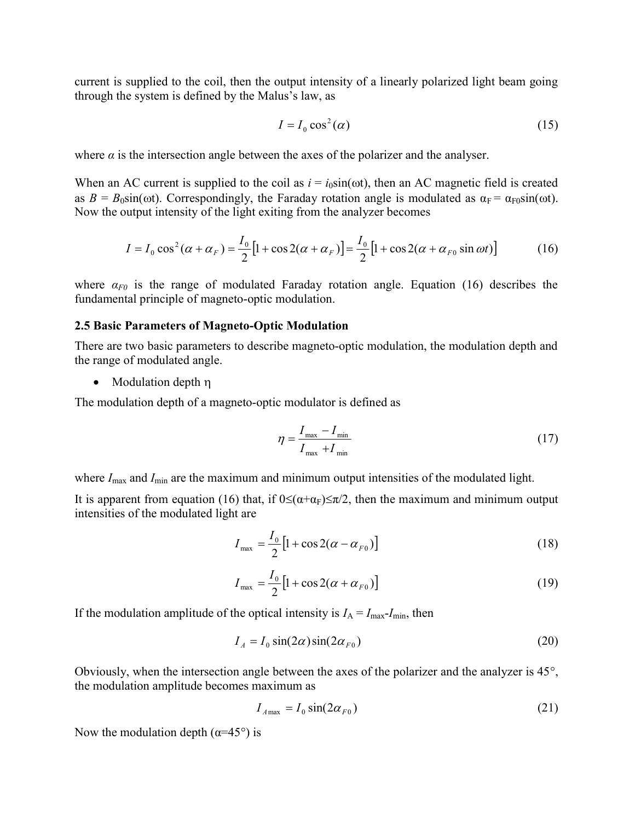current is supplied to the coil, then the output intensity of a linearly polarized light beam going through the system is defined by the Malus's law, as

$$
I = I_0 \cos^2(\alpha) \tag{15}
$$

where  $\alpha$  is the intersection angle between the axes of the polarizer and the analyser.

When an AC current is supplied to the coil as  $i = i_0 \sin(\omega t)$ , then an AC magnetic field is created as  $B = B_0 \sin(\omega t)$ . Correspondingly, the Faraday rotation angle is modulated as  $\alpha_F = \alpha_{F0} \sin(\omega t)$ . Now the output intensity of the light exiting from the analyzer becomes the output intensity of a linearly polarized light beam going<br>
Malus's law, as<br>  $I = I_0 \cos^2(\alpha)$  (15)<br>
tween the axes of the polarizer and the analyser.<br>
the coil as  $i = i_0 \sin(\omega t)$ , then an AC magnetic field is created<br>
the

$$
I = I_0 \cos^2(\alpha + \alpha_F) = \frac{I_0}{2} \left[ 1 + \cos 2(\alpha + \alpha_F) \right] = \frac{I_0}{2} \left[ 1 + \cos 2(\alpha + \alpha_{F0} \sin \omega t) \right]
$$
(16)

where  $\alpha_{F0}$  is the range of modulated Faraday rotation angle. Equation (16) describes the fundamental principle of magneto-optic modulation.

#### 2.5 Basic Parameters of Magneto-Optic Modulation

There are two basic parameters to describe magneto-optic modulation, the modulation depth and the range of modulated angle.

• Modulation depth  $\eta$ 

The modulation depth of a magneto-optic modulator is defined as

Faraday rotation angle. Equation (16) describes the  
modulation.  
\n**ic Modulation**  
\nbe magneto-optic modulation, the modulation depth and  
\nc modulator is defined as  
\n
$$
\eta = \frac{I_{\text{max}} - I_{\text{min}}}{I_{\text{max}} + I_{\text{min}}} \qquad (17)
$$
\n
$$
1 \text{ minimum output intensities of the modulated light.}
$$
\n
$$
0 \leq (\alpha + \alpha_F) \leq \pi/2, \text{ then the maximum and minimum output}
$$
\n
$$
\frac{1}{2} \left[ 1 + \cos 2(\alpha - \alpha_{F0}) \right] \qquad (18)
$$
\n
$$
\frac{1}{2} \left[ 1 + \cos 2(\alpha + \alpha_{F0}) \right] \qquad (19)
$$
\n
$$
1 \text{ intensity is } I_A = I_{\text{max}} - I_{\text{min}}, \text{ then}
$$
\n
$$
\sin(2\alpha)\sin(2\alpha_{F0}) \qquad (20)
$$

where  $I_{\text{max}}$  and  $I_{\text{min}}$  are the maximum and minimum output intensities of the modulated light.

It is apparent from equation (16) that, if  $0 \leq (\alpha + \alpha_F) \leq \pi/2$ , then the maximum and minimum output intensities of the modulated light are

$$
I_{\max} = \frac{I_0}{2} \left[ 1 + \cos 2(\alpha - \alpha_{F0}) \right]
$$
 (18)

$$
I_{\max} = \frac{I_0}{2} \left[ 1 + \cos 2(\alpha + \alpha_{F0}) \right]
$$
 (19)

If the modulation amplitude of the optical intensity is  $I_A = I_{\text{max}}-I_{\text{min}}$ , then

$$
I_A = I_0 \sin(2\alpha) \sin(2\alpha_{F0})
$$
 (20)

Obviously, when the intersection angle between the axes of the polarizer and the analyzer is  $45^{\circ}$ , the modulation amplitude becomes maximum as

$$
I_{A\max} = I_0 \sin(2\alpha_{F0})
$$
\n(21)

Now the modulation depth ( $\alpha$ =45°) is